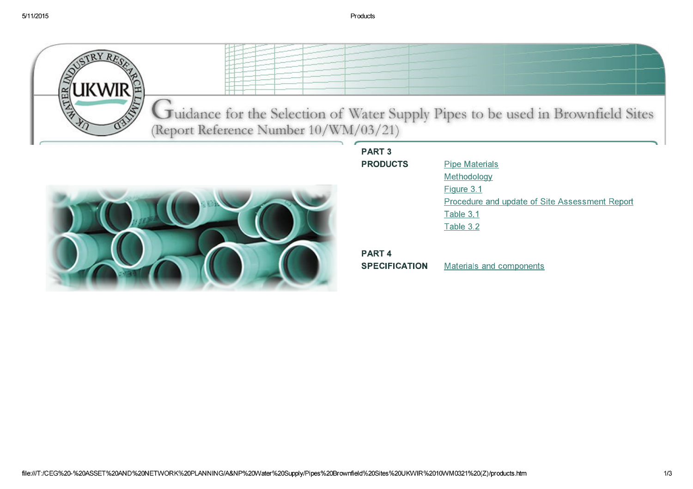

Uuidance for the Selection of Water Supply Pipes to be used in Brownfield Sites (Report Reference Number 10/WM/03/21)



| <b>PART 3</b>   |
|-----------------|
| <b>PRODUCTS</b> |

**Pipe Materials** Methodology Figure 3.1 Procedure and update of Site Assessment Report Table 3.1 Table 3.2

## PART<sub>4</sub>

**SPECIFICATION** Materials and components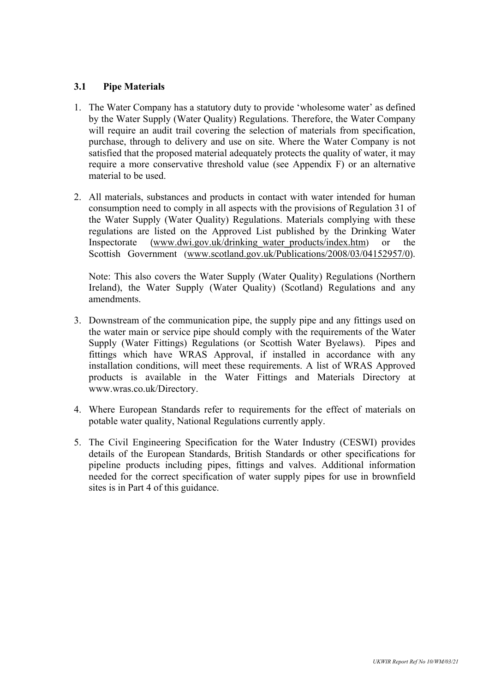## **3.1 Pipe Materials**

- 1. The Water Company has a statutory duty to provide 'wholesome water' as defined by the Water Supply (Water Quality) Regulations. Therefore, the Water Company will require an audit trail covering the selection of materials from specification, purchase, through to delivery and use on site. Where the Water Company is not satisfied that the proposed material adequately protects the quality of water, it may require a more conservative threshold value (see Appendix F) or an alternative material to be used.
- 2. All materials, substances and products in contact with water intended for human consumption need to comply in all aspects with the provisions of Regulation 31 of the Water Supply (Water Quality) Regulations. Materials complying with these regulations are listed on the Approved List published by the Drinking Water Inspectorate (www.dwi.gov.uk/drinking\_water\_products/index.htm) or the Scottish Government (www.scotland.gov.uk/Publications/2008/03/04152957/0).

Note: This also covers the Water Supply (Water Quality) Regulations (Northern Ireland), the Water Supply (Water Quality) (Scotland) Regulations and any amendments.

- 3. Downstream of the communication pipe, the supply pipe and any fittings used on the water main or service pipe should comply with the requirements of the Water Supply (Water Fittings) Regulations (or Scottish Water Byelaws). Pipes and fittings which have WRAS Approval, if installed in accordance with any installation conditions, will meet these requirements. A list of WRAS Approved products is available in the Water Fittings and Materials Directory at www.wras.co.uk/Directory.
- 4. Where European Standards refer to requirements for the effect of materials on potable water quality, National Regulations currently apply.
- 5. The Civil Engineering Specification for the Water Industry (CESWI) provides details of the European Standards, British Standards or other specifications for pipeline products including pipes, fittings and valves. Additional information needed for the correct specification of water supply pipes for use in brownfield sites is in Part 4 of this guidance.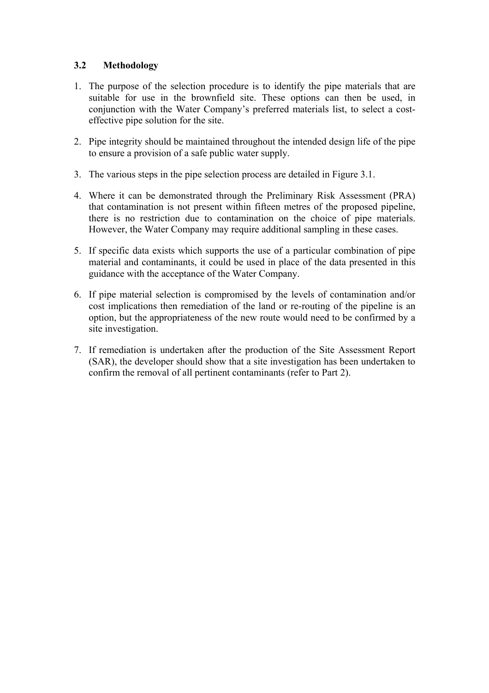## **3.2 Methodology**

- 1. The purpose of the selection procedure is to identify the pipe materials that are suitable for use in the brownfield site. These options can then be used, in conjunction with the Water Company's preferred materials list, to select a costeffective pipe solution for the site.
- 2. Pipe integrity should be maintained throughout the intended design life of the pipe to ensure a provision of a safe public water supply.
- 3. The various steps in the pipe selection process are detailed in Figure 3.1.
- 4. Where it can be demonstrated through the Preliminary Risk Assessment (PRA) that contamination is not present within fifteen metres of the proposed pipeline, there is no restriction due to contamination on the choice of pipe materials. However, the Water Company may require additional sampling in these cases.
- 5. If specific data exists which supports the use of a particular combination of pipe material and contaminants, it could be used in place of the data presented in this guidance with the acceptance of the Water Company.
- 6. If pipe material selection is compromised by the levels of contamination and/or cost implications then remediation of the land or re-routing of the pipeline is an option, but the appropriateness of the new route would need to be confirmed by a site investigation.
- 7. If remediation is undertaken after the production of the Site Assessment Report (SAR), the developer should show that a site investigation has been undertaken to confirm the removal of all pertinent contaminants (refer to Part 2).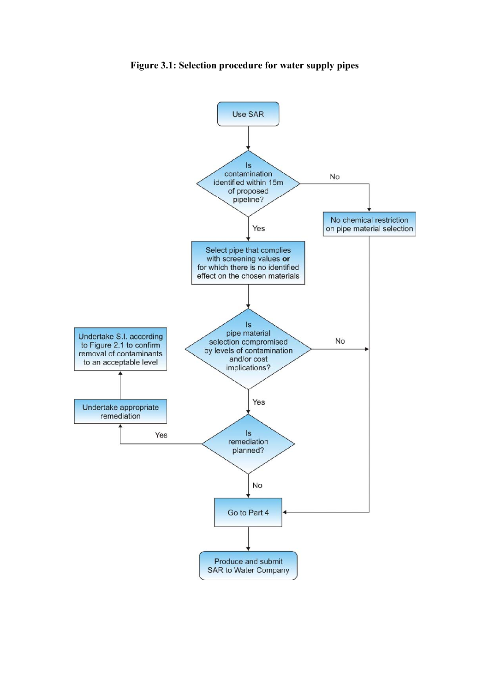

**Figure 3.1: Selection procedure for water supply pipes**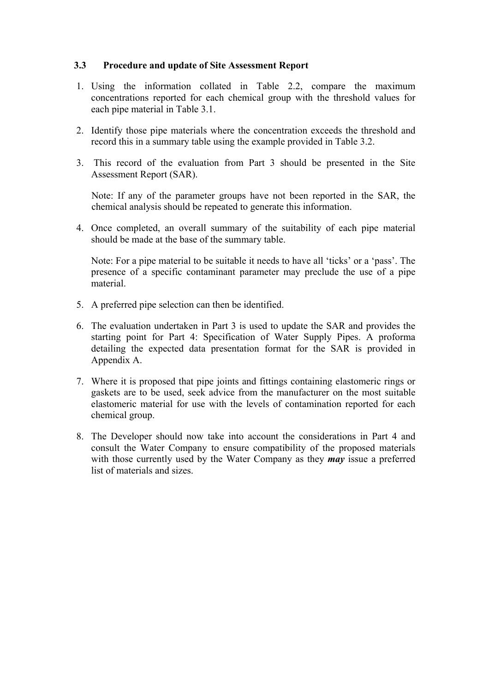## **3.3 Procedure and update of Site Assessment Report**

- 1. Using the information collated in Table 2.2, compare the maximum concentrations reported for each chemical group with the threshold values for each pipe material in Table 3.1.
- 2. Identify those pipe materials where the concentration exceeds the threshold and record this in a summary table using the example provided in Table 3.2.
- 3. This record of the evaluation from Part 3 should be presented in the Site Assessment Report (SAR).

Note: If any of the parameter groups have not been reported in the SAR, the chemical analysis should be repeated to generate this information.

4. Once completed, an overall summary of the suitability of each pipe material should be made at the base of the summary table.

Note: For a pipe material to be suitable it needs to have all 'ticks' or a 'pass'. The presence of a specific contaminant parameter may preclude the use of a pipe material.

- 5. A preferred pipe selection can then be identified.
- 6. The evaluation undertaken in Part 3 is used to update the SAR and provides the starting point for Part 4: Specification of Water Supply Pipes. A proforma detailing the expected data presentation format for the SAR is provided in Appendix A.
- 7. Where it is proposed that pipe joints and fittings containing elastomeric rings or gaskets are to be used, seek advice from the manufacturer on the most suitable elastomeric material for use with the levels of contamination reported for each chemical group.
- 8. The Developer should now take into account the considerations in Part 4 and consult the Water Company to ensure compatibility of the proposed materials with those currently used by the Water Company as they *may* issue a preferred list of materials and sizes.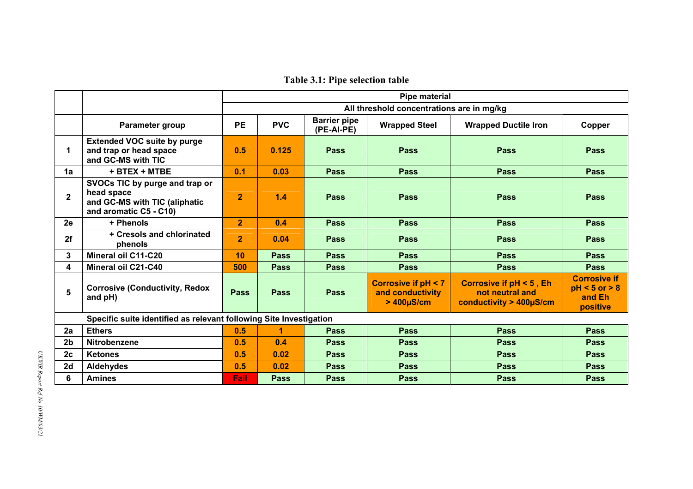**Table 3.1: Pipe selection table** 

|                |                                                                                                         | <b>Pipe material</b>                      |             |                                   |                                                                     |                                                                       |                                                                |  |  |  |  |
|----------------|---------------------------------------------------------------------------------------------------------|-------------------------------------------|-------------|-----------------------------------|---------------------------------------------------------------------|-----------------------------------------------------------------------|----------------------------------------------------------------|--|--|--|--|
|                |                                                                                                         | All threshold concentrations are in mg/kg |             |                                   |                                                                     |                                                                       |                                                                |  |  |  |  |
|                | Parameter group                                                                                         | <b>PE</b>                                 | <b>PVC</b>  | <b>Barrier pipe</b><br>(PE-AI-PE) | <b>Wrapped Steel</b>                                                | <b>Wrapped Ductile Iron</b>                                           | Copper                                                         |  |  |  |  |
| 1              | <b>Extended VOC suite by purge</b><br>and trap or head space<br>and GC-MS with TIC                      | 0.5                                       | 0.125       | <b>Pass</b>                       | <b>Pass</b>                                                         | <b>Pass</b>                                                           | <b>Pass</b>                                                    |  |  |  |  |
| 1a             | + BTEX + MTBE                                                                                           | 0.1                                       | 0.03        | Pass                              | <b>Pass</b>                                                         | <b>Pass</b>                                                           | <b>Pass</b>                                                    |  |  |  |  |
| $\mathbf{2}$   | SVOCs TIC by purge and trap or<br>head space<br>and GC-MS with TIC (aliphatic<br>and aromatic C5 - C10) | $\overline{2}$                            | 1.4         | <b>Pass</b>                       | <b>Pass</b>                                                         | <b>Pass</b>                                                           | <b>Pass</b>                                                    |  |  |  |  |
| 2e             | + Phenols                                                                                               | $\overline{2}$                            | 0.4         | Pass                              | <b>Pass</b>                                                         | <b>Pass</b>                                                           | <b>Pass</b>                                                    |  |  |  |  |
| 2f             | + Cresols and chlorinated<br>phenols                                                                    | $\overline{2}$                            | 0.04        | <b>Pass</b>                       | <b>Pass</b>                                                         | <b>Pass</b>                                                           | <b>Pass</b>                                                    |  |  |  |  |
| 3              | <b>Mineral oil C11-C20</b>                                                                              | 10                                        | <b>Pass</b> | <b>Pass</b>                       | <b>Pass</b>                                                         | <b>Pass</b>                                                           | <b>Pass</b>                                                    |  |  |  |  |
| 4              | Mineral oil C21-C40                                                                                     | 500                                       | <b>Pass</b> | <b>Pass</b>                       | <b>Pass</b>                                                         | <b>Pass</b>                                                           | <b>Pass</b>                                                    |  |  |  |  |
| 5              | <b>Corrosive (Conductivity, Redox</b><br>and pH)                                                        | <b>Pass</b>                               | <b>Pass</b> | <b>Pass</b>                       | <b>Corrosive if pH &lt; 7</b><br>and conductivity<br>$>400\mu$ S/cm | Corrosive if pH < 5, Eh<br>not neutral and<br>conductivity > 400µS/cm | <b>Corrosive if</b><br>$pH < 5$ or $> 8$<br>and Eh<br>positive |  |  |  |  |
|                | Specific suite identified as relevant following Site Investigation                                      |                                           |             |                                   |                                                                     |                                                                       |                                                                |  |  |  |  |
| 2a             | <b>Ethers</b>                                                                                           | 0.5                                       |             | Pass                              | <b>Pass</b>                                                         | <b>Pass</b>                                                           | <b>Pass</b>                                                    |  |  |  |  |
| 2 <sub>b</sub> | Nitrobenzene                                                                                            | 0.5                                       | 0.4         | <b>Pass</b>                       | <b>Pass</b>                                                         | Pass                                                                  | <b>Pass</b>                                                    |  |  |  |  |
| 2c             | <b>Ketones</b>                                                                                          | 0.5                                       | 0.02        | <b>Pass</b>                       | <b>Pass</b>                                                         | <b>Pass</b>                                                           | <b>Pass</b>                                                    |  |  |  |  |
| 2d             | Aldehydes                                                                                               | 0.5                                       | 0.02        | Pass                              | <b>Pass</b>                                                         | <b>Pass</b>                                                           | <b>Pass</b>                                                    |  |  |  |  |
| 6              | <b>Amines</b>                                                                                           | Fail                                      | <b>Pass</b> | <b>Pass</b>                       | <b>Pass</b>                                                         | <b>Pass</b>                                                           | <b>Pass</b>                                                    |  |  |  |  |